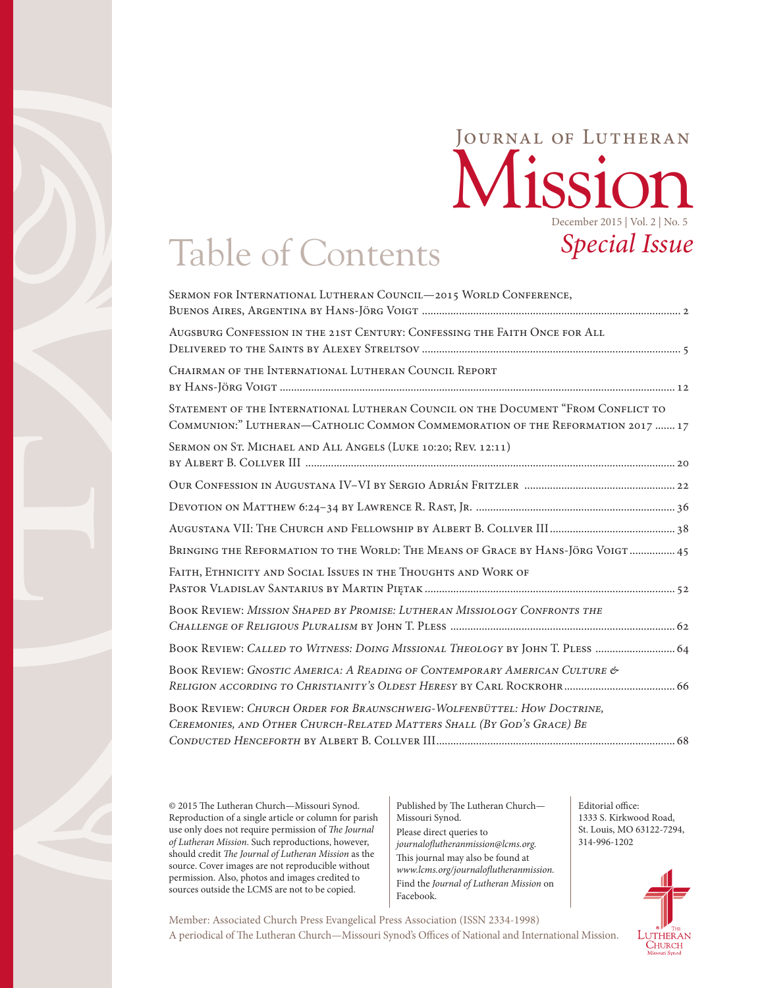### Mission Journal of Lutheran December 2015 | Vol. 2 | No. 5 *Special Issue*

# Table of Contents

© 2015 The Lutheran Church—Missouri Synod. Reproduction of a single article or column for parish use only does not require permission of *The Journal of Lutheran Mission*. Such reproductions, however, should credit *The Journal of Lutheran Mission* as the source. Cover images are not reproducible without permission. Also, photos and images credited to sources outside the LCMS are not to be copied.

Published by The Lutheran Church— Missouri Synod. Please direct queries to *journaloflutheranmission@lcms.org.* This journal may also be found at *[www.lcms.org/journaloflutheranmission.](http://www.lcms.org/journalofluthermission)* Find the *Journal of Lutheran Mission* on Facebook.

A periodical of The Lutheran Church—Missouri Synod's Offices of National and International Mission. Member: Associated Church Press Evangelical Press Association (ISSN 2334-1998)

Editorial office: 1333 S. Kirkwood Road, St. Louis, MO 63122-7294, 314-996-1202

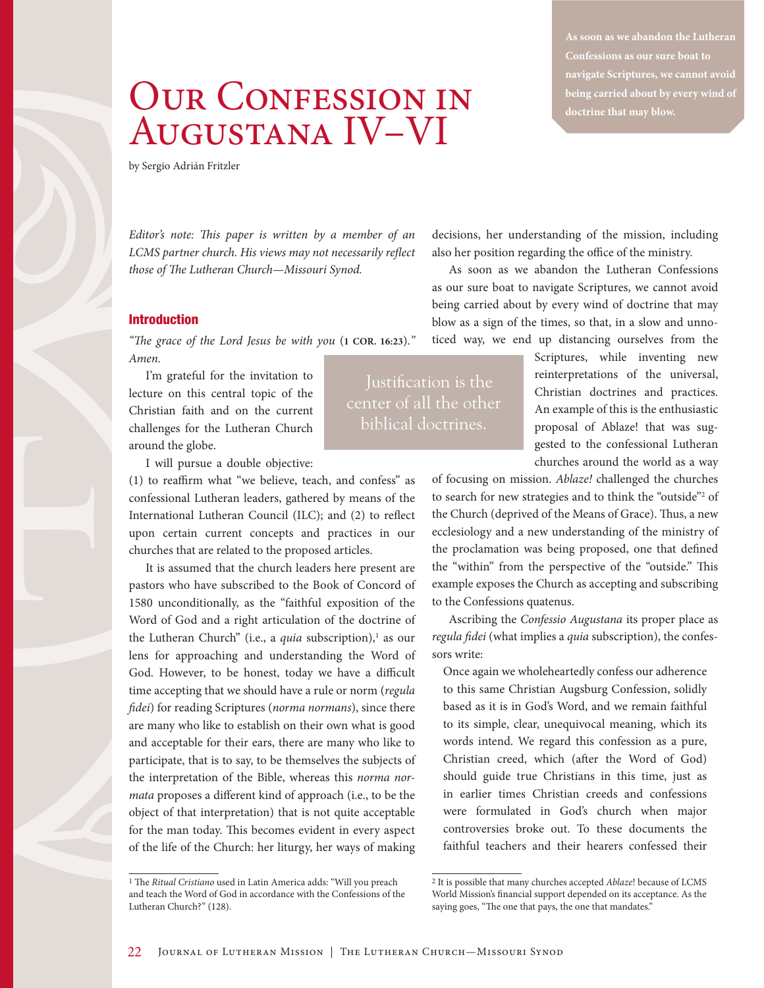## OUR CONFESSION IN Augustana IV–VI

**As soon as we abandon the Lutheran navigate Scriptures, we cannot avoid being carried about by every wind of** 

by Sergio Adrián Fritzler

*Editor's note: This paper is written by a member of an LCMS partner church. His views may not necessarily reflect those of The Lutheran Church—Missouri Synod.*

#### Introduction

*"The grace of the Lord Jesus be with you* (**1 COR. 16:23**).*" Amen.*

I'm grateful for the invitation to lecture on this central topic of the Christian faith and on the current challenges for the Lutheran Church around the globe.

I will pursue a double objective:

(1) to reaffirm what "we believe, teach, and confess" as confessional Lutheran leaders, gathered by means of the International Lutheran Council (ILC); and (2) to reflect upon certain current concepts and practices in our churches that are related to the proposed articles.

It is assumed that the church leaders here present are pastors who have subscribed to the Book of Concord of 1580 unconditionally, as the "faithful exposition of the Word of God and a right articulation of the doctrine of the Lutheran Church" (i.e., a *quia* subscription),<sup>1</sup> as our lens for approaching and understanding the Word of God. However, to be honest, today we have a difficult time accepting that we should have a rule or norm (*regula fidei*) for reading Scriptures (*norma normans*), since there are many who like to establish on their own what is good and acceptable for their ears, there are many who like to participate, that is to say, to be themselves the subjects of the interpretation of the Bible, whereas this *norma normata* proposes a different kind of approach (i.e., to be the object of that interpretation) that is not quite acceptable for the man today. This becomes evident in every aspect of the life of the Church: her liturgy, her ways of making

decisions, her understanding of the mission, including also her position regarding the office of the ministry.

As soon as we abandon the Lutheran Confessions as our sure boat to navigate Scriptures, we cannot avoid being carried about by every wind of doctrine that may blow as a sign of the times, so that, in a slow and unnoticed way, we end up distancing ourselves from the

Justification is the center of all the other biblical doctrines.

Scriptures, while inventing new reinterpretations of the universal, Christian doctrines and practices. An example of this is the enthusiastic proposal of Ablaze! that was suggested to the confessional Lutheran churches around the world as a way

of focusing on mission. *Ablaze!* challenged the churches to search for new strategies and to think the "outside"<sup>2</sup> of the Church (deprived of the Means of Grace). Thus, a new ecclesiology and a new understanding of the ministry of the proclamation was being proposed, one that defined the "within" from the perspective of the "outside." This example exposes the Church as accepting and subscribing to the Confessions quatenus.

Ascribing the *Confessio Augustana* its proper place as *regula fidei* (what implies a *quia* subscription), the confessors write:

Once again we wholeheartedly confess our adherence to this same Christian Augsburg Confession, solidly based as it is in God's Word, and we remain faithful to its simple, clear, unequivocal meaning, which its words intend. We regard this confession as a pure, Christian creed, which (after the Word of God) should guide true Christians in this time, just as in earlier times Christian creeds and confessions were formulated in God's church when major controversies broke out. To these documents the faithful teachers and their hearers confessed their

<sup>1</sup> The *Ritual Cristiano* used in Latin America adds: "Will you preach and teach the Word of God in accordance with the Confessions of the Lutheran Church?" (128).

<sup>2</sup> It is possible that many churches accepted *Ablaze*! because of LCMS World Mission's financial support depended on its acceptance. As the saying goes, "The one that pays, the one that mandates."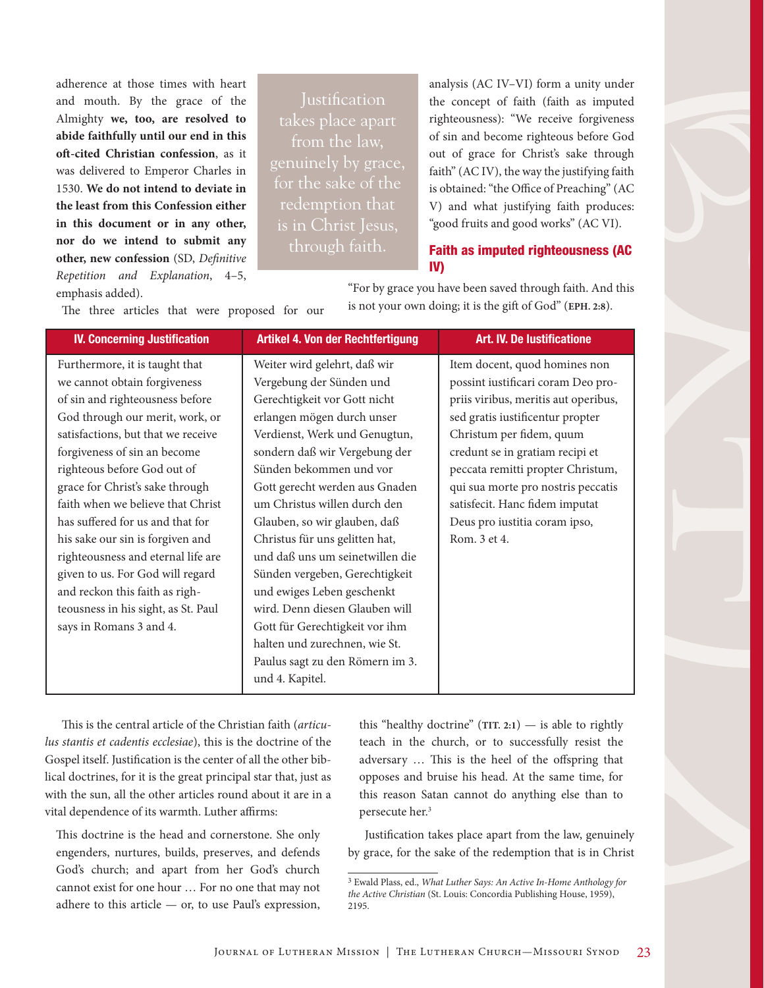adherence at those times with heart and mouth. By the grace of the Almighty **we, too, are resolved to abide faithfully until our end in this oft-cited Christian confession**, as it was delivered to Emperor Charles in 1530. **We do not intend to deviate in the least from this Confession either in this document or in any other, nor do we intend to submit any other, new confession** (SD, *Definitive Repetition and Explanation*, 4–5, emphasis added).

takes place apart from the law, for the sake of the is in Christ Jesus, through faith.

analysis (AC IV–VI) form a unity under the concept of faith (faith as imputed righteousness): "We receive forgiveness of sin and become righteous before God out of grace for Christ's sake through faith" (AC IV), the way the justifying faith is obtained: "the Office of Preaching" (AC V) and what justifying faith produces: "good fruits and good works" (AC VI).

#### Faith as imputed righteousness (AC IV)

The three articles that were proposed for our

"For by grace you have been saved through faith. And this is not your own doing; it is the gift of God" (**EPH. 2:8**).

| Weiter wird gelehrt, daß wir<br>Furthermore, it is taught that<br>Item docent, quod homines non<br>we cannot obtain forgiveness<br>Vergebung der Sünden und<br>possint iustificari coram Deo pro-<br>Gerechtigkeit vor Gott nicht<br>priis viribus, meritis aut operibus,<br>of sin and righteousness before<br>erlangen mögen durch unser<br>sed gratis iustificentur propter<br>God through our merit, work, or<br>satisfactions, but that we receive<br>Verdienst, Werk und Genugtun,<br>Christum per fidem, quum<br>sondern daß wir Vergebung der<br>forgiveness of sin an become<br>credunt se in gratiam recipi et<br>Sünden bekommen und vor<br>righteous before God out of<br>peccata remitti propter Christum,<br>grace for Christ's sake through<br>Gott gerecht werden aus Gnaden<br>qui sua morte pro nostris peccatis<br>faith when we believe that Christ<br>um Christus willen durch den<br>satisfecit. Hanc fidem imputat<br>has suffered for us and that for<br>Glauben, so wir glauben, daß<br>Deus pro iustitia coram ipso,<br>Christus für uns gelitten hat,<br>his sake our sin is forgiven and<br>Rom. 3 et 4.<br>righteousness and eternal life are<br>und daß uns um seinetwillen die<br>given to us. For God will regard<br>Sünden vergeben, Gerechtigkeit<br>and reckon this faith as righ-<br>und ewiges Leben geschenkt<br>wird. Denn diesen Glauben will<br>teousness in his sight, as St. Paul<br>says in Romans 3 and 4.<br>Gott für Gerechtigkeit vor ihm<br>halten und zurechnen, wie St.<br>Paulus sagt zu den Römern im 3.<br>und 4. Kapitel. |
|----------------------------------------------------------------------------------------------------------------------------------------------------------------------------------------------------------------------------------------------------------------------------------------------------------------------------------------------------------------------------------------------------------------------------------------------------------------------------------------------------------------------------------------------------------------------------------------------------------------------------------------------------------------------------------------------------------------------------------------------------------------------------------------------------------------------------------------------------------------------------------------------------------------------------------------------------------------------------------------------------------------------------------------------------------------------------------------------------------------------------------------------------------------------------------------------------------------------------------------------------------------------------------------------------------------------------------------------------------------------------------------------------------------------------------------------------------------------------------------------------------------------------------------------------------------------------------|
|                                                                                                                                                                                                                                                                                                                                                                                                                                                                                                                                                                                                                                                                                                                                                                                                                                                                                                                                                                                                                                                                                                                                                                                                                                                                                                                                                                                                                                                                                                                                                                                  |

This is the central article of the Christian faith (*articulus stantis et cadentis ecclesiae*), this is the doctrine of the Gospel itself. Justification is the center of all the other biblical doctrines, for it is the great principal star that, just as with the sun, all the other articles round about it are in a vital dependence of its warmth. Luther affirms:

This doctrine is the head and cornerstone. She only engenders, nurtures, builds, preserves, and defends God's church; and apart from her God's church cannot exist for one hour … For no one that may not adhere to this article  $-$  or, to use Paul's expression,

this "healthy doctrine"  $(TIT. 2:1)$  — is able to rightly teach in the church, or to successfully resist the adversary … This is the heel of the offspring that opposes and bruise his head. At the same time, for this reason Satan cannot do anything else than to persecute her.3

Justification takes place apart from the law, genuinely by grace, for the sake of the redemption that is in Christ

<sup>3</sup> Ewald Plass, ed., *What Luther Says: An Active In-Home Anthology for the Active Christian* (St. Louis: Concordia Publishing House, 1959), 2195.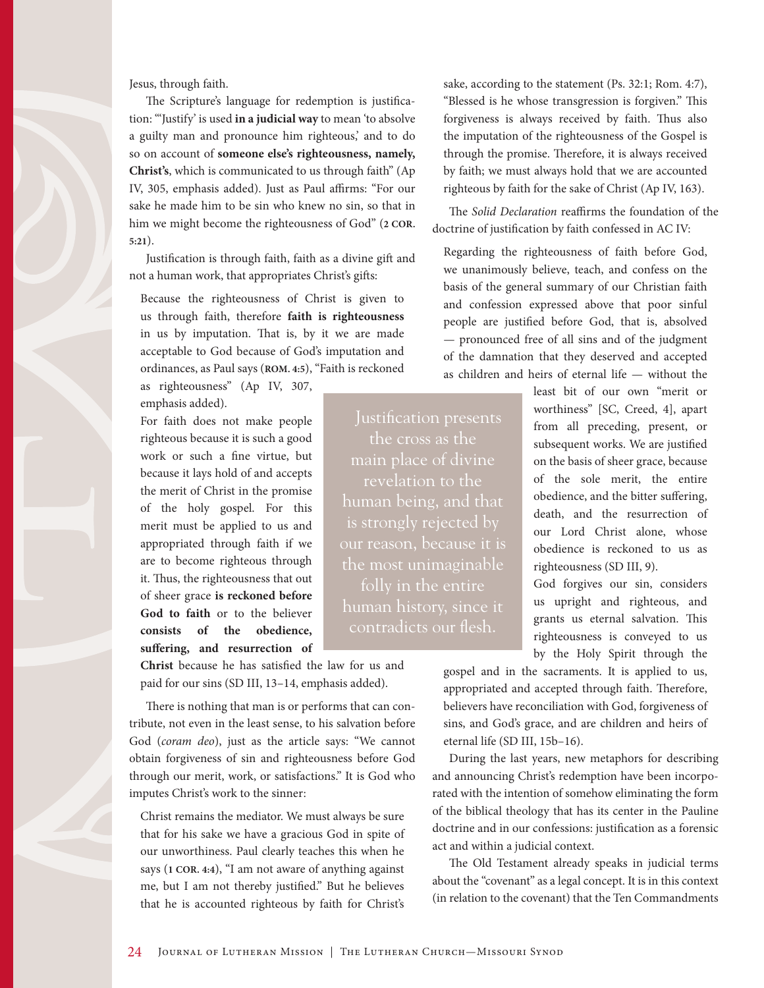Jesus, through faith.

The Scripture's language for redemption is justification: "'Justify' is used **in a judicial way** to mean 'to absolve a guilty man and pronounce him righteous,' and to do so on account of **someone else's righteousness, namely, Christ's**, which is communicated to us through faith" (Ap IV, 305, emphasis added). Just as Paul affirms: "For our sake he made him to be sin who knew no sin, so that in him we might become the righteousness of God" (**2 COR. 5:21**).

Justification is through faith, faith as a divine gift and not a human work, that appropriates Christ's gifts:

Because the righteousness of Christ is given to us through faith, therefore **faith is righteousness** in us by imputation. That is, by it we are made acceptable to God because of God's imputation and ordinances, as Paul says (**ROM. 4:5**), "Faith is reckoned

as righteousness" (Ap IV, 307, emphasis added).

For faith does not make people righteous because it is such a good work or such a fine virtue, but because it lays hold of and accepts the merit of Christ in the promise of the holy gospel. For this merit must be applied to us and appropriated through faith if we are to become righteous through it. Thus, the righteousness that out of sheer grace **is reckoned before God to faith** or to the believer **consists of the obedience, suffering, and resurrection of** 

**Christ** because he has satisfied the law for us and paid for our sins (SD III, 13–14, emphasis added).

There is nothing that man is or performs that can contribute, not even in the least sense, to his salvation before God (*coram deo*), just as the article says: "We cannot obtain forgiveness of sin and righteousness before God through our merit, work, or satisfactions." It is God who imputes Christ's work to the sinner:

Christ remains the mediator. We must always be sure that for his sake we have a gracious God in spite of our unworthiness. Paul clearly teaches this when he says (**1 COR. 4:4**), "I am not aware of anything against me, but I am not thereby justified." But he believes that he is accounted righteous by faith for Christ's

sake, according to the statement (Ps. 32:1; Rom. 4:7), "Blessed is he whose transgression is forgiven." This forgiveness is always received by faith. Thus also the imputation of the righteousness of the Gospel is through the promise. Therefore, it is always received by faith; we must always hold that we are accounted righteous by faith for the sake of Christ (Ap IV, 163).

The *Solid Declaration* reaffirms the foundation of the doctrine of justification by faith confessed in AC IV:

Regarding the righteousness of faith before God, we unanimously believe, teach, and confess on the basis of the general summary of our Christian faith and confession expressed above that poor sinful people are justified before God, that is, absolved — pronounced free of all sins and of the judgment of the damnation that they deserved and accepted as children and heirs of eternal life — without the

the cross as the main place of divine revelation to the human being, and that is strongly rejected by our reason, because it is the most unimaginable folly in the entire contradicts our flesh.

least bit of our own "merit or worthiness" [SC, Creed, 4], apart from all preceding, present, or subsequent works. We are justified on the basis of sheer grace, because of the sole merit, the entire obedience, and the bitter suffering, death, and the resurrection of our Lord Christ alone, whose obedience is reckoned to us as righteousness (SD III, 9).

God forgives our sin, considers us upright and righteous, and grants us eternal salvation. This righteousness is conveyed to us by the Holy Spirit through the

gospel and in the sacraments. It is applied to us, appropriated and accepted through faith. Therefore, believers have reconciliation with God, forgiveness of sins, and God's grace, and are children and heirs of eternal life (SD III, 15b–16).

During the last years, new metaphors for describing and announcing Christ's redemption have been incorporated with the intention of somehow eliminating the form of the biblical theology that has its center in the Pauline doctrine and in our confessions: justification as a forensic act and within a judicial context.

The Old Testament already speaks in judicial terms about the "covenant" as a legal concept. It is in this context (in relation to the covenant) that the Ten Commandments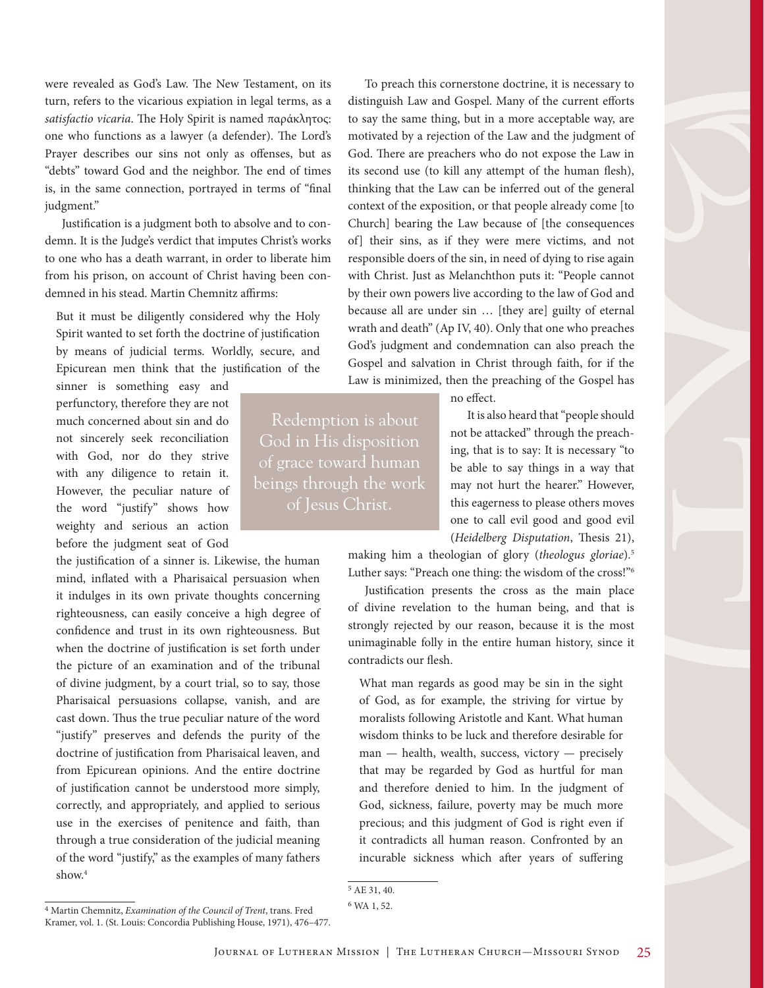were revealed as God's Law. The New Testament, on its turn, refers to the vicarious expiation in legal terms, as a *satisfactio vicaria*. The Holy Spirit is named παράκλητος: one who functions as a lawyer (a defender). The Lord's Prayer describes our sins not only as offenses, but as "debts" toward God and the neighbor. The end of times is, in the same connection, portrayed in terms of "final judgment."

Justification is a judgment both to absolve and to condemn. It is the Judge's verdict that imputes Christ's works to one who has a death warrant, in order to liberate him from his prison, on account of Christ having been condemned in his stead. Martin Chemnitz affirms:

But it must be diligently considered why the Holy Spirit wanted to set forth the doctrine of justification by means of judicial terms. Worldly, secure, and Epicurean men think that the justification of the

sinner is something easy and perfunctory, therefore they are not much concerned about sin and do not sincerely seek reconciliation with God, nor do they strive with any diligence to retain it. However, the peculiar nature of the word "justify" shows how weighty and serious an action before the judgment seat of God

the justification of a sinner is. Likewise, the human mind, inflated with a Pharisaical persuasion when it indulges in its own private thoughts concerning righteousness, can easily conceive a high degree of confidence and trust in its own righteousness. But when the doctrine of justification is set forth under the picture of an examination and of the tribunal of divine judgment, by a court trial, so to say, those Pharisaical persuasions collapse, vanish, and are cast down. Thus the true peculiar nature of the word "justify" preserves and defends the purity of the doctrine of justification from Pharisaical leaven, and from Epicurean opinions. And the entire doctrine of justification cannot be understood more simply, correctly, and appropriately, and applied to serious use in the exercises of penitence and faith, than through a true consideration of the judicial meaning of the word "justify," as the examples of many fathers show.<sup>4</sup>

Redemption is about of grace toward human beings through the work of Jesus Christ.

To preach this cornerstone doctrine, it is necessary to distinguish Law and Gospel. Many of the current efforts to say the same thing, but in a more acceptable way, are motivated by a rejection of the Law and the judgment of God. There are preachers who do not expose the Law in its second use (to kill any attempt of the human flesh), thinking that the Law can be inferred out of the general context of the exposition, or that people already come [to Church] bearing the Law because of [the consequences of] their sins, as if they were mere victims, and not responsible doers of the sin, in need of dying to rise again with Christ. Just as Melanchthon puts it: "People cannot by their own powers live according to the law of God and because all are under sin … [they are] guilty of eternal wrath and death" (Ap IV, 40). Only that one who preaches God's judgment and condemnation can also preach the Gospel and salvation in Christ through faith, for if the Law is minimized, then the preaching of the Gospel has

no effect.

It is also heard that "people should not be attacked" through the preaching, that is to say: It is necessary "to be able to say things in a way that may not hurt the hearer." However, this eagerness to please others moves one to call evil good and good evil (*Heidelberg Disputation*, Thesis 21),

making him a theologian of glory (*theologus gloriae*).5 Luther says: "Preach one thing: the wisdom of the cross!"6

Justification presents the cross as the main place of divine revelation to the human being, and that is strongly rejected by our reason, because it is the most unimaginable folly in the entire human history, since it contradicts our flesh.

What man regards as good may be sin in the sight of God, as for example, the striving for virtue by moralists following Aristotle and Kant. What human wisdom thinks to be luck and therefore desirable for man — health, wealth, success, victory — precisely that may be regarded by God as hurtful for man and therefore denied to him. In the judgment of God, sickness, failure, poverty may be much more precious; and this judgment of God is right even if it contradicts all human reason. Confronted by an incurable sickness which after years of suffering

5 AE 31, 40.

<sup>6</sup> WA 1, 52.

<sup>4</sup> Martin Chemnitz, *Examination of the Council of Trent*, trans. Fred Kramer, vol. 1. (St. Louis: Concordia Publishing House, 1971), 476–477.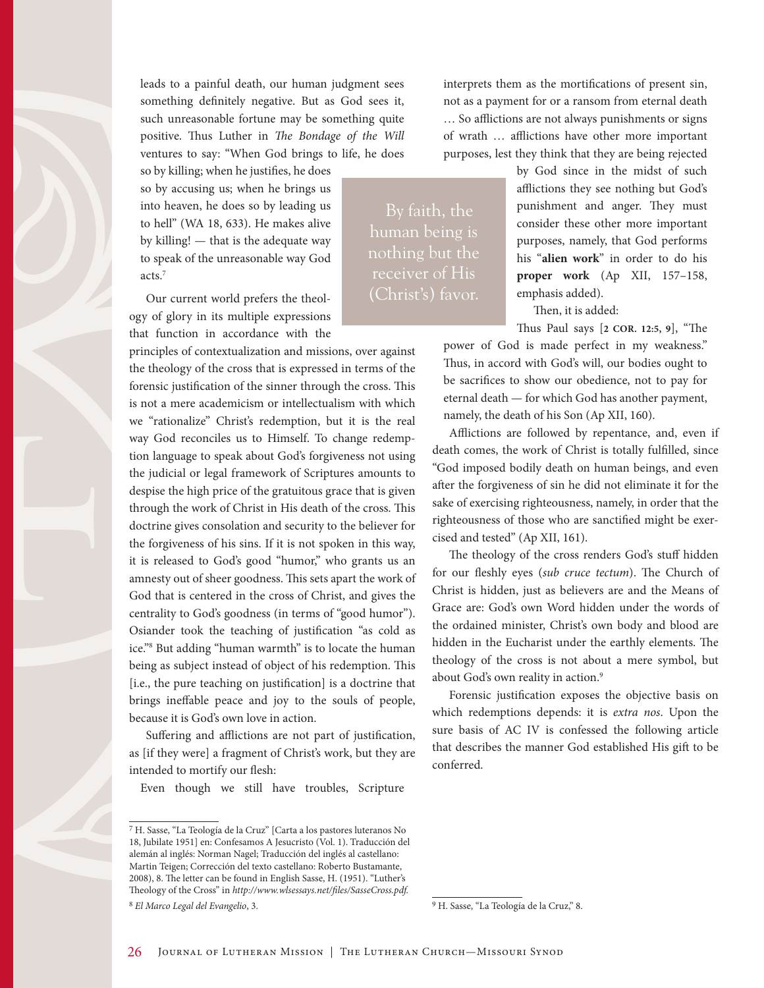leads to a painful death, our human judgment sees something definitely negative. But as God sees it, such unreasonable fortune may be something quite positive. Thus Luther in *The Bondage of the Will* ventures to say: "When God brings to life, he does

so by killing; when he justifies, he does so by accusing us; when he brings us into heaven, he does so by leading us to hell" (WA 18, 633). He makes alive by killing! — that is the adequate way to speak of the unreasonable way God acts.7

Our current world prefers the theology of glory in its multiple expressions that function in accordance with the

principles of contextualization and missions, over against the theology of the cross that is expressed in terms of the forensic justification of the sinner through the cross. This is not a mere academicism or intellectualism with which we "rationalize" Christ's redemption, but it is the real way God reconciles us to Himself. To change redemption language to speak about God's forgiveness not using the judicial or legal framework of Scriptures amounts to despise the high price of the gratuitous grace that is given through the work of Christ in His death of the cross. This doctrine gives consolation and security to the believer for the forgiveness of his sins. If it is not spoken in this way, it is released to God's good "humor," who grants us an amnesty out of sheer goodness. This sets apart the work of God that is centered in the cross of Christ, and gives the centrality to God's goodness (in terms of "good humor"). Osiander took the teaching of justification "as cold as ice."8 But adding "human warmth" is to locate the human being as subject instead of object of his redemption. This [i.e., the pure teaching on justification] is a doctrine that brings ineffable peace and joy to the souls of people, because it is God's own love in action.

Suffering and afflictions are not part of justification, as [if they were] a fragment of Christ's work, but they are intended to mortify our flesh:

Even though we still have troubles, Scripture

interprets them as the mortifications of present sin, not as a payment for or a ransom from eternal death … So afflictions are not always punishments or signs of wrath … afflictions have other more important purposes, lest they think that they are being rejected

By faith, the human being is nothing but the receiver of His (Christ's) favor.

by God since in the midst of such afflictions they see nothing but God's punishment and anger. They must consider these other more important purposes, namely, that God performs his "**alien work**" in order to do his **proper work** (Ap XII, 157–158, emphasis added).

Then, it is added:

Thus Paul says [**2 COR. 12:5, 9**], "The power of God is made perfect in my weakness." Thus, in accord with God's will, our bodies ought to be sacrifices to show our obedience, not to pay for eternal death — for which God has another payment,

namely, the death of his Son (Ap XII, 160).

Afflictions are followed by repentance, and, even if death comes, the work of Christ is totally fulfilled, since "God imposed bodily death on human beings, and even after the forgiveness of sin he did not eliminate it for the sake of exercising righteousness, namely, in order that the righteousness of those who are sanctified might be exercised and tested" (Ap XII, 161).

The theology of the cross renders God's stuff hidden for our fleshly eyes (*sub cruce tectum*). The Church of Christ is hidden, just as believers are and the Means of Grace are: God's own Word hidden under the words of the ordained minister, Christ's own body and blood are hidden in the Eucharist under the earthly elements. The theology of the cross is not about a mere symbol, but about God's own reality in action.<sup>9</sup>

Forensic justification exposes the objective basis on which redemptions depends: it is *extra nos*. Upon the sure basis of AC IV is confessed the following article that describes the manner God established His gift to be conferred.

<sup>7</sup> H. Sasse, "La Teología de la Cruz" [Carta a los pastores luteranos No 18, Jubilate 1951] en: Confesamos A Jesucristo (Vol. 1). Traducción del alemán al inglés: Norman Nagel; Traducción del inglés al castellano: Martin Teigen; Corrección del texto castellano: Roberto Bustamante, 2008), 8. The letter can be found in English Sasse, H. (1951). "Luther's Theology of the Cross" in *<http://www.wlsessays.net/files/SasseCross.pdf.>* 8 *El Marco Legal del Evangelio*, 3.

<sup>9</sup> H. Sasse, "La Teología de la Cruz," 8.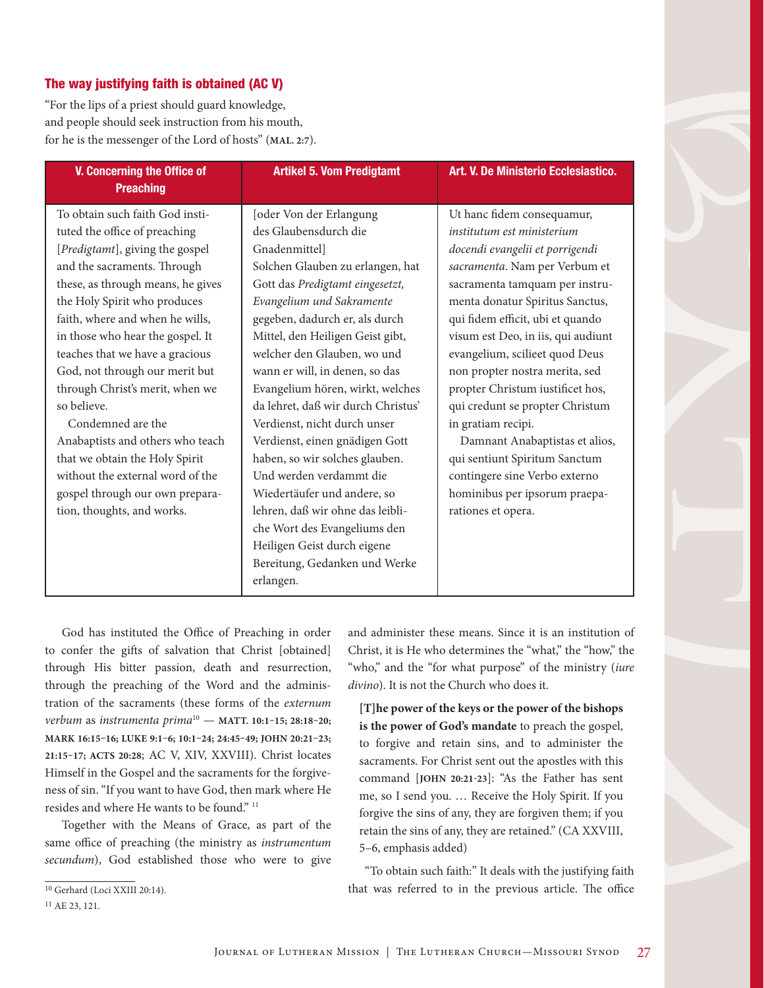#### The way justifying faith is obtained (AC V)

"For the lips of a priest should guard knowledge, and people should seek instruction from his mouth, for he is the messenger of the Lord of hosts" (**MAL. 2:7**).

| <b>V. Concerning the Office of</b><br><b>Preaching</b>                                                                                                                                                                                                                                                                                                                                                                                                                                                                                                                                                | <b>Artikel 5. Vom Predigtamt</b>                                                                                                                                                                                                                                                                                                                                                                                                                                                                                                                                                                                                                                                         | Art. V. De Ministerio Ecclesiastico.                                                                                                                                                                                                                                                                                                                                                                                                                                                                                                                                                                    |
|-------------------------------------------------------------------------------------------------------------------------------------------------------------------------------------------------------------------------------------------------------------------------------------------------------------------------------------------------------------------------------------------------------------------------------------------------------------------------------------------------------------------------------------------------------------------------------------------------------|------------------------------------------------------------------------------------------------------------------------------------------------------------------------------------------------------------------------------------------------------------------------------------------------------------------------------------------------------------------------------------------------------------------------------------------------------------------------------------------------------------------------------------------------------------------------------------------------------------------------------------------------------------------------------------------|---------------------------------------------------------------------------------------------------------------------------------------------------------------------------------------------------------------------------------------------------------------------------------------------------------------------------------------------------------------------------------------------------------------------------------------------------------------------------------------------------------------------------------------------------------------------------------------------------------|
| To obtain such faith God insti-<br>tuted the office of preaching<br>[Predigtamt], giving the gospel<br>and the sacraments. Through<br>these, as through means, he gives<br>the Holy Spirit who produces<br>faith, where and when he wills,<br>in those who hear the gospel. It<br>teaches that we have a gracious<br>God, not through our merit but<br>through Christ's merit, when we<br>so believe.<br>Condemned are the<br>Anabaptists and others who teach<br>that we obtain the Holy Spirit<br>without the external word of the<br>gospel through our own prepara-<br>tion, thoughts, and works. | [oder Von der Erlangung<br>des Glaubensdurch die<br>Gnadenmittel]<br>Solchen Glauben zu erlangen, hat<br>Gott das Predigtamt eingesetzt,<br>Evangelium und Sakramente<br>gegeben, dadurch er, als durch<br>Mittel, den Heiligen Geist gibt,<br>welcher den Glauben, wo und<br>wann er will, in denen, so das<br>Evangelium hören, wirkt, welches<br>da lehret, daß wir durch Christus'<br>Verdienst, nicht durch unser<br>Verdienst, einen gnädigen Gott<br>haben, so wir solches glauben.<br>Und werden verdammt die<br>Wiedertäufer und andere, so<br>lehren, daß wir ohne das leibli-<br>che Wort des Evangeliums den<br>Heiligen Geist durch eigene<br>Bereitung, Gedanken und Werke | Ut hanc fidem consequamur,<br>institutum est ministerium<br>docendi evangelii et porrigendi<br>sacramenta. Nam per Verbum et<br>sacramenta tamquam per instru-<br>menta donatur Spiritus Sanctus,<br>qui fidem efficit, ubi et quando<br>visum est Deo, in iis, qui audiunt<br>evangelium, scilieet quod Deus<br>non propter nostra merita, sed<br>propter Christum iustificet hos,<br>qui credunt se propter Christum<br>in gratiam recipi.<br>Damnant Anabaptistas et alios,<br>qui sentiunt Spiritum Sanctum<br>contingere sine Verbo externo<br>hominibus per ipsorum praepa-<br>rationes et opera. |
|                                                                                                                                                                                                                                                                                                                                                                                                                                                                                                                                                                                                       | erlangen.                                                                                                                                                                                                                                                                                                                                                                                                                                                                                                                                                                                                                                                                                |                                                                                                                                                                                                                                                                                                                                                                                                                                                                                                                                                                                                         |

God has instituted the Office of Preaching in order to confer the gifts of salvation that Christ [obtained] through His bitter passion, death and resurrection, through the preaching of the Word and the administration of the sacraments (these forms of the *externum verbum* as *instrumenta prima*10 — **MATT. 10:1–15; 28:18–20; MARK 16:15–16; LUKE 9:1–6; 10:1–24; 24:45–49; JOHN 20:21–23; 21:15–17; ACTS 20:28**; AC V, XIV, XXVIII). Christ locates Himself in the Gospel and the sacraments for the forgiveness of sin. "If you want to have God, then mark where He resides and where He wants to be found."<sup>11</sup>

Together with the Means of Grace, as part of the same office of preaching (the ministry as *instrumentum secundum*), God established those who were to give

**[T]he power of the keys or the power of the bishops is the power of God's mandate** to preach the gospel, to forgive and retain sins, and to administer the sacraments. For Christ sent out the apostles with this command [**JOHN 20:21-23**]: "As the Father has sent me, so I send you. … Receive the Holy Spirit. If you forgive the sins of any, they are forgiven them; if you retain the sins of any, they are retained." (CA XXVIII, 5–6, emphasis added)

"To obtain such faith:" It deals with the justifying faith that was referred to in the previous article. The office

and administer these means. Since it is an institution of Christ, it is He who determines the "what," the "how," the "who," and the "for what purpose" of the ministry (*iure divino*). It is not the Church who does it.

<sup>10</sup> Gerhard (Loci XXIII 20:14).

<sup>11</sup> AE 23, 121.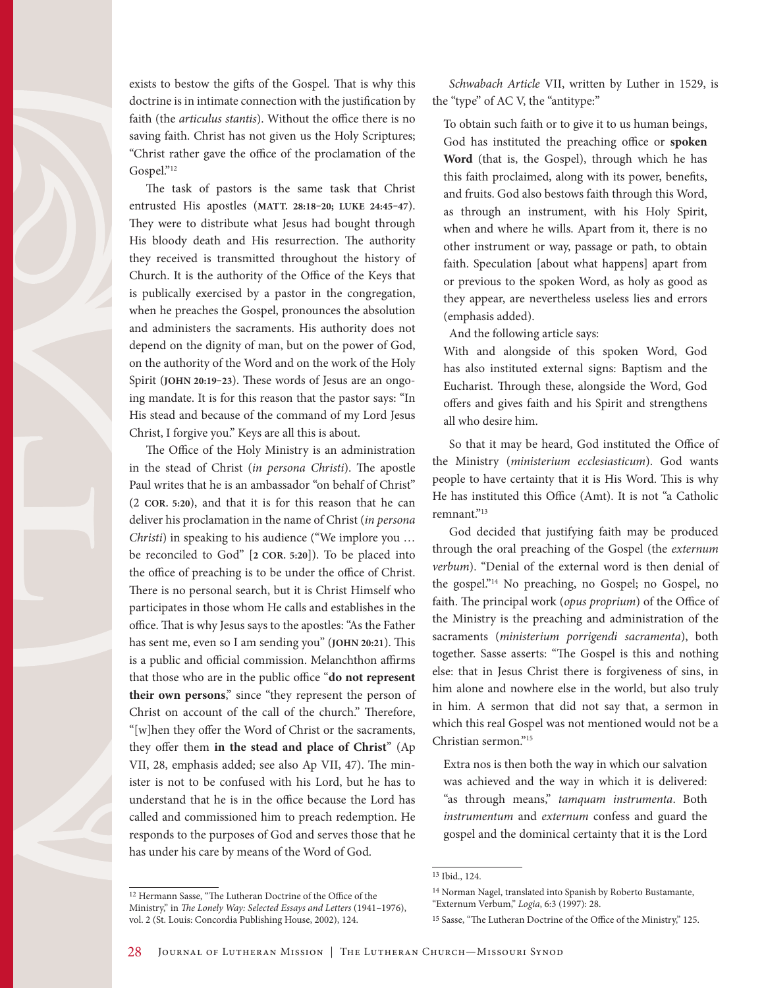exists to bestow the gifts of the Gospel. That is why this doctrine is in intimate connection with the justification by faith (the *articulus stantis*). Without the office there is no saving faith. Christ has not given us the Holy Scriptures; "Christ rather gave the office of the proclamation of the Gospel."12

The task of pastors is the same task that Christ entrusted His apostles (**MATT. 28:18–20; LUKE 24:45–47**). They were to distribute what Jesus had bought through His bloody death and His resurrection. The authority they received is transmitted throughout the history of Church. It is the authority of the Office of the Keys that is publically exercised by a pastor in the congregation, when he preaches the Gospel, pronounces the absolution and administers the sacraments. His authority does not depend on the dignity of man, but on the power of God, on the authority of the Word and on the work of the Holy Spirit (**JOHN 20:19–23**). These words of Jesus are an ongoing mandate. It is for this reason that the pastor says: "In His stead and because of the command of my Lord Jesus Christ, I forgive you." Keys are all this is about.

The Office of the Holy Ministry is an administration in the stead of Christ (*in persona Christi*). The apostle Paul writes that he is an ambassador "on behalf of Christ" (2 **COR. 5:20**), and that it is for this reason that he can deliver his proclamation in the name of Christ (*in persona Christi*) in speaking to his audience ("We implore you … be reconciled to God" [**2 COR. 5:20**]). To be placed into the office of preaching is to be under the office of Christ. There is no personal search, but it is Christ Himself who participates in those whom He calls and establishes in the office. That is why Jesus says to the apostles: "As the Father has sent me, even so I am sending you" (**JOHN 20:21**). This is a public and official commission. Melanchthon affirms that those who are in the public office "**do not represent their own persons**," since "they represent the person of Christ on account of the call of the church." Therefore, "[w]hen they offer the Word of Christ or the sacraments, they offer them **in the stead and place of Christ**" (Ap VII, 28, emphasis added; see also Ap VII, 47). The minister is not to be confused with his Lord, but he has to understand that he is in the office because the Lord has called and commissioned him to preach redemption. He responds to the purposes of God and serves those that he has under his care by means of the Word of God.

*Schwabach Article* VII, written by Luther in 1529, is the "type" of AC V, the "antitype:"

To obtain such faith or to give it to us human beings, God has instituted the preaching office or **spoken Word** (that is, the Gospel), through which he has this faith proclaimed, along with its power, benefits, and fruits. God also bestows faith through this Word, as through an instrument, with his Holy Spirit, when and where he wills. Apart from it, there is no other instrument or way, passage or path, to obtain faith. Speculation [about what happens] apart from or previous to the spoken Word, as holy as good as they appear, are nevertheless useless lies and errors (emphasis added).

And the following article says:

With and alongside of this spoken Word, God has also instituted external signs: Baptism and the Eucharist. Through these, alongside the Word, God offers and gives faith and his Spirit and strengthens all who desire him.

So that it may be heard, God instituted the Office of the Ministry (*ministerium ecclesiasticum*). God wants people to have certainty that it is His Word. This is why He has instituted this Office (Amt). It is not "a Catholic remnant."<sup>13</sup>

God decided that justifying faith may be produced through the oral preaching of the Gospel (the *externum verbum*). "Denial of the external word is then denial of the gospel."14 No preaching, no Gospel; no Gospel, no faith. The principal work (*opus proprium*) of the Office of the Ministry is the preaching and administration of the sacraments (*ministerium porrigendi sacramenta*), both together. Sasse asserts: "The Gospel is this and nothing else: that in Jesus Christ there is forgiveness of sins, in him alone and nowhere else in the world, but also truly in him. A sermon that did not say that, a sermon in which this real Gospel was not mentioned would not be a Christian sermon."15

Extra nos is then both the way in which our salvation was achieved and the way in which it is delivered: "as through means," *tamquam instrumenta*. Both *instrumentum* and *externum* confess and guard the gospel and the dominical certainty that it is the Lord

<sup>13</sup> Ibid., 124.

<sup>14</sup> Norman Nagel, translated into Spanish by Roberto Bustamante, "Externum Verbum," *Logia*, 6:3 (1997): 28.

<sup>12</sup> Hermann Sasse, "The Lutheran Doctrine of the Office of the Ministry," in *The Lonely Way: Selected Essays and Letters* (1941–1976), vol. 2 (St. Louis: Concordia Publishing House, 2002), 124.

<sup>15</sup> Sasse, "The Lutheran Doctrine of the Office of the Ministry," 125.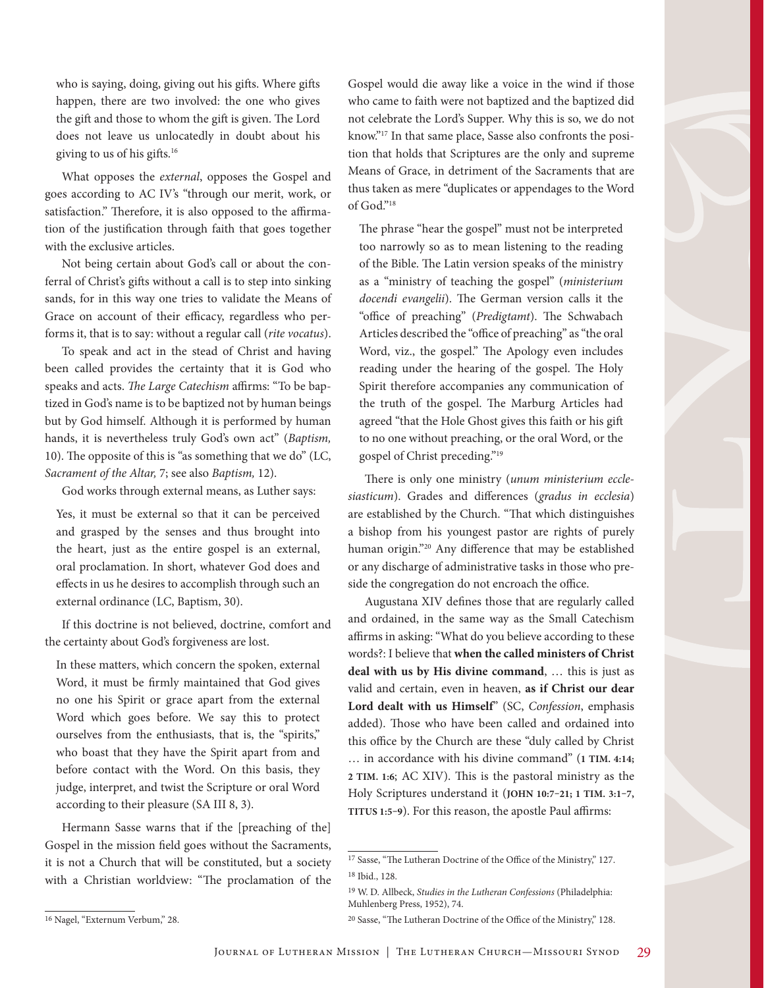who is saying, doing, giving out his gifts. Where gifts happen, there are two involved: the one who gives the gift and those to whom the gift is given. The Lord does not leave us unlocatedly in doubt about his giving to us of his gifts.16

What opposes the *external*, opposes the Gospel and goes according to AC IV's "through our merit, work, or satisfaction." Therefore, it is also opposed to the affirmation of the justification through faith that goes together with the exclusive articles.

Not being certain about God's call or about the conferral of Christ's gifts without a call is to step into sinking sands, for in this way one tries to validate the Means of Grace on account of their efficacy, regardless who performs it, that is to say: without a regular call (*rite vocatus*).

To speak and act in the stead of Christ and having been called provides the certainty that it is God who speaks and acts. *The Large Catechism* affirms: "To be baptized in God's name is to be baptized not by human beings but by God himself. Although it is performed by human hands, it is nevertheless truly God's own act" (*Baptism,*  10). The opposite of this is "as something that we do" (LC, *Sacrament of the Altar,* 7; see also *Baptism,* 12).

God works through external means, as Luther says:

Yes, it must be external so that it can be perceived and grasped by the senses and thus brought into the heart, just as the entire gospel is an external, oral proclamation. In short, whatever God does and effects in us he desires to accomplish through such an external ordinance (LC, Baptism, 30).

If this doctrine is not believed, doctrine, comfort and the certainty about God's forgiveness are lost.

In these matters, which concern the spoken, external Word, it must be firmly maintained that God gives no one his Spirit or grace apart from the external Word which goes before. We say this to protect ourselves from the enthusiasts, that is, the "spirits," who boast that they have the Spirit apart from and before contact with the Word. On this basis, they judge, interpret, and twist the Scripture or oral Word according to their pleasure (SA III 8, 3).

Hermann Sasse warns that if the [preaching of the] Gospel in the mission field goes without the Sacraments, it is not a Church that will be constituted, but a society with a Christian worldview: "The proclamation of the Gospel would die away like a voice in the wind if those who came to faith were not baptized and the baptized did not celebrate the Lord's Supper. Why this is so, we do not know."17 In that same place, Sasse also confronts the position that holds that Scriptures are the only and supreme Means of Grace, in detriment of the Sacraments that are thus taken as mere "duplicates or appendages to the Word of God."18

The phrase "hear the gospel" must not be interpreted too narrowly so as to mean listening to the reading of the Bible. The Latin version speaks of the ministry as a "ministry of teaching the gospel" (*ministerium docendi evangelii*). The German version calls it the "office of preaching" (*Predigtamt*). The Schwabach Articles described the "office of preaching" as "the oral Word, viz., the gospel." The Apology even includes reading under the hearing of the gospel. The Holy Spirit therefore accompanies any communication of the truth of the gospel. The Marburg Articles had agreed "that the Hole Ghost gives this faith or his gift to no one without preaching, or the oral Word, or the gospel of Christ preceding."19

There is only one ministry (*unum ministerium ecclesiasticum*). Grades and differences (*gradus in ecclesia*) are established by the Church. "That which distinguishes a bishop from his youngest pastor are rights of purely human origin."20 Any difference that may be established or any discharge of administrative tasks in those who preside the congregation do not encroach the office.

Augustana XIV defines those that are regularly called and ordained, in the same way as the Small Catechism affirms in asking: "What do you believe according to these words?: I believe that **when the called ministers of Christ deal with us by His divine command**, … this is just as valid and certain, even in heaven, **as if Christ our dear Lord dealt with us Himself**" (SC, *Confession*, emphasis added). Those who have been called and ordained into this office by the Church are these "duly called by Christ … in accordance with his divine command" (**1 TIM. 4:14; 2 TIM. 1:6**; AC XIV). This is the pastoral ministry as the Holy Scriptures understand it (**JOHN 10:7–21; 1 TIM. 3:1–7, TITUS 1:5–9**). For this reason, the apostle Paul affirms:

<sup>17</sup> Sasse, "The Lutheran Doctrine of the Office of the Ministry," 127. 18 Ibid., 128.

<sup>19</sup> W. D. Allbeck, *Studies in the Lutheran Confessions* (Philadelphia: Muhlenberg Press, 1952), 74.

<sup>&</sup>lt;sup>16</sup> Nagel, "Externum Verbum," 28.

<sup>20</sup> Sasse, "The Lutheran Doctrine of the Office of the Ministry," 128.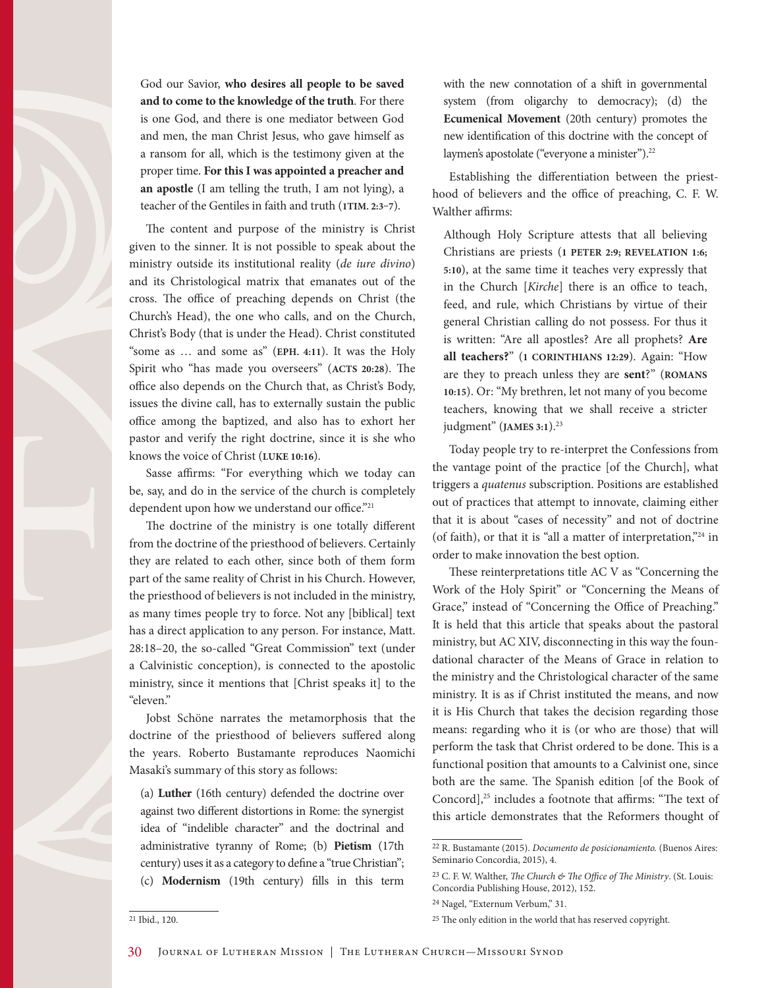

The content and purpose of the ministry is Christ given to the sinner. It is not possible to speak about the ministry outside its institutional reality (*de iure divino*) and its Christological matrix that emanates out of the cross. The office of preaching depends on Christ (the Church's Head), the one who calls, and on the Church, Christ's Body (that is under the Head). Christ constituted "some as … and some as" (**EPH. 4:11**). It was the Holy Spirit who "has made you overseers" (**ACTS 20:28**). The office also depends on the Church that, as Christ's Body, issues the divine call, has to externally sustain the public office among the baptized, and also has to exhort her pastor and verify the right doctrine, since it is she who knows the voice of Christ (**LUKE 10:16**).

Sasse affirms: "For everything which we today can be, say, and do in the service of the church is completely dependent upon how we understand our office."<sup>21</sup>

The doctrine of the ministry is one totally different from the doctrine of the priesthood of believers. Certainly they are related to each other, since both of them form part of the same reality of Christ in his Church. However, the priesthood of believers is not included in the ministry, as many times people try to force. Not any [biblical] text has a direct application to any person. For instance, Matt. 28:18–20, the so-called "Great Commission" text (under a Calvinistic conception), is connected to the apostolic ministry, since it mentions that [Christ speaks it] to the "eleven."

Jobst Schöne narrates the metamorphosis that the doctrine of the priesthood of believers suffered along the years. Roberto Bustamante reproduces Naomichi Masaki's summary of this story as follows:

(a) **Luther** (16th century) defended the doctrine over against two different distortions in Rome: the synergist idea of "indelible character" and the doctrinal and administrative tyranny of Rome; (b) **Pietism** (17th century) uses it as a category to define a "true Christian"; (c) **Modernism** (19th century) fills in this term

with the new connotation of a shift in governmental system (from oligarchy to democracy); (d) the **Ecumenical Movement** (20th century) promotes the new identification of this doctrine with the concept of laymen's apostolate ("everyone a minister").<sup>22</sup>

Establishing the differentiation between the priesthood of believers and the office of preaching, C. F. W. Walther affirms:

Although Holy Scripture attests that all believing Christians are priests (**1 PETER 2:9; REVELATION 1:6; 5:10**), at the same time it teaches very expressly that in the Church [*Kirche*] there is an office to teach, feed, and rule, which Christians by virtue of their general Christian calling do not possess. For thus it is written: "Are all apostles? Are all prophets? **Are all teachers?**" (**1 CORINTHIANS 12:29**). Again: "How are they to preach unless they are **sent**?" (**ROMANS 10:15**). Or: "My brethren, let not many of you become teachers, knowing that we shall receive a stricter judgment" (**JAMES** 3:1).<sup>23</sup>

Today people try to re-interpret the Confessions from the vantage point of the practice [of the Church], what triggers a *quatenus* subscription. Positions are established out of practices that attempt to innovate, claiming either that it is about "cases of necessity" and not of doctrine (of faith), or that it is "all a matter of interpretation,"24 in order to make innovation the best option.

These reinterpretations title AC V as "Concerning the Work of the Holy Spirit" or "Concerning the Means of Grace," instead of "Concerning the Office of Preaching." It is held that this article that speaks about the pastoral ministry, but AC XIV, disconnecting in this way the foundational character of the Means of Grace in relation to the ministry and the Christological character of the same ministry. It is as if Christ instituted the means, and now it is His Church that takes the decision regarding those means: regarding who it is (or who are those) that will perform the task that Christ ordered to be done. This is a functional position that amounts to a Calvinist one, since both are the same. The Spanish edition [of the Book of Concord],<sup>25</sup> includes a footnote that affirms: "The text of this article demonstrates that the Reformers thought of

<sup>22</sup> R. Bustamante (2015). *Documento de posicionamiento.* (Buenos Aires: Seminario Concordia, 2015), 4.

<sup>23</sup> C. F. W. Walther, *The Church & The Office of The Ministry*. (St. Louis: Concordia Publishing House, 2012), 152.

<sup>24</sup> Nagel, "Externum Verbum," 31.

<sup>25</sup> The only edition in the world that has reserved copyright.

<sup>21</sup> Ibid., 120.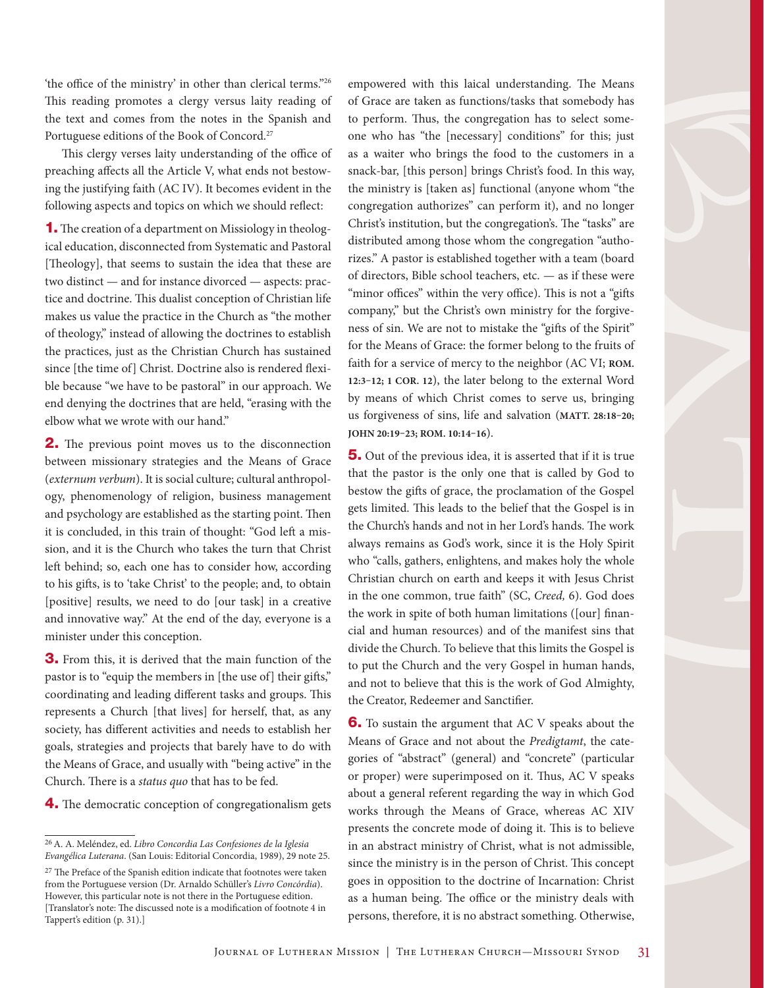'the office of the ministry' in other than clerical terms."26 This reading promotes a clergy versus laity reading of the text and comes from the notes in the Spanish and Portuguese editions of the Book of Concord.27

This clergy verses laity understanding of the office of preaching affects all the Article V, what ends not bestowing the justifying faith (AC IV). It becomes evident in the following aspects and topics on which we should reflect:

1. The creation of a department on Missiology in theological education, disconnected from Systematic and Pastoral [Theology], that seems to sustain the idea that these are two distinct — and for instance divorced — aspects: practice and doctrine. This dualist conception of Christian life makes us value the practice in the Church as "the mother of theology," instead of allowing the doctrines to establish the practices, just as the Christian Church has sustained since [the time of] Christ. Doctrine also is rendered flexible because "we have to be pastoral" in our approach. We end denying the doctrines that are held, "erasing with the elbow what we wrote with our hand."

2. The previous point moves us to the disconnection between missionary strategies and the Means of Grace (*externum verbum*). It is social culture; cultural anthropology, phenomenology of religion, business management and psychology are established as the starting point. Then it is concluded, in this train of thought: "God left a mission, and it is the Church who takes the turn that Christ left behind; so, each one has to consider how, according to his gifts, is to 'take Christ' to the people; and, to obtain [positive] results, we need to do [our task] in a creative and innovative way." At the end of the day, everyone is a minister under this conception.

3. From this, it is derived that the main function of the pastor is to "equip the members in [the use of] their gifts," coordinating and leading different tasks and groups. This represents a Church [that lives] for herself, that, as any society, has different activities and needs to establish her goals, strategies and projects that barely have to do with the Means of Grace, and usually with "being active" in the Church. There is a *status quo* that has to be fed.

4. The democratic conception of congregationalism gets

empowered with this laical understanding. The Means of Grace are taken as functions/tasks that somebody has to perform. Thus, the congregation has to select someone who has "the [necessary] conditions" for this; just as a waiter who brings the food to the customers in a snack-bar, [this person] brings Christ's food. In this way, the ministry is [taken as] functional (anyone whom "the congregation authorizes" can perform it), and no longer Christ's institution, but the congregation's. The "tasks" are distributed among those whom the congregation "authorizes." A pastor is established together with a team (board of directors, Bible school teachers, etc. — as if these were "minor offices" within the very office). This is not a "gifts company," but the Christ's own ministry for the forgiveness of sin. We are not to mistake the "gifts of the Spirit" for the Means of Grace: the former belong to the fruits of faith for a service of mercy to the neighbor (AC VI; **ROM. 12:3–12; 1 COR. 12**), the later belong to the external Word by means of which Christ comes to serve us, bringing us forgiveness of sins, life and salvation (**MATT. 28:18–20; JOHN 20:19–23; ROM. 10:14–16**).

**5.** Out of the previous idea, it is asserted that if it is true that the pastor is the only one that is called by God to bestow the gifts of grace, the proclamation of the Gospel gets limited. This leads to the belief that the Gospel is in the Church's hands and not in her Lord's hands. The work always remains as God's work, since it is the Holy Spirit who "calls, gathers, enlightens, and makes holy the whole Christian church on earth and keeps it with Jesus Christ in the one common, true faith" (SC, *Creed,* 6). God does the work in spite of both human limitations ([our] financial and human resources) and of the manifest sins that divide the Church. To believe that this limits the Gospel is to put the Church and the very Gospel in human hands, and not to believe that this is the work of God Almighty, the Creator, Redeemer and Sanctifier.

**6.** To sustain the argument that AC V speaks about the Means of Grace and not about the *Predigtamt*, the categories of "abstract" (general) and "concrete" (particular or proper) were superimposed on it. Thus, AC V speaks about a general referent regarding the way in which God works through the Means of Grace, whereas AC XIV presents the concrete mode of doing it. This is to believe in an abstract ministry of Christ, what is not admissible, since the ministry is in the person of Christ. This concept goes in opposition to the doctrine of Incarnation: Christ as a human being. The office or the ministry deals with persons, therefore, it is no abstract something. Otherwise,

<sup>26</sup> A. A. Meléndez, ed. *Libro Concordia Las Confesiones de la Iglesia Evangélica Luterana*. (San Louis: Editorial Concordia, 1989), 29 note 25.

<sup>27</sup> The Preface of the Spanish edition indicate that footnotes were taken from the Portuguese version (Dr. Arnaldo Schüller's *Livro Concórdia*). However, this particular note is not there in the Portuguese edition. [Translator's note: The discussed note is a modification of footnote 4 in Tappert's edition (p. 31).]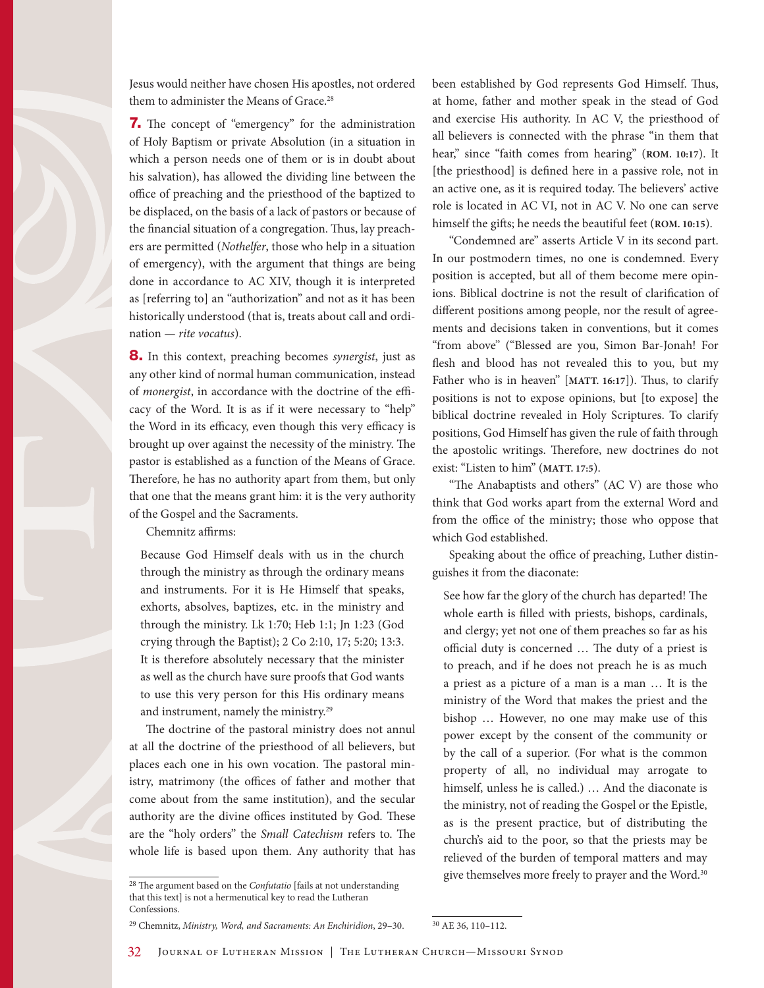Jesus would neither have chosen His apostles, not ordered them to administer the Means of Grace.<sup>28</sup>

**7.** The concept of "emergency" for the administration of Holy Baptism or private Absolution (in a situation in which a person needs one of them or is in doubt about his salvation), has allowed the dividing line between the office of preaching and the priesthood of the baptized to be displaced, on the basis of a lack of pastors or because of the financial situation of a congregation. Thus, lay preachers are permitted (*Nothelfer*, those who help in a situation of emergency), with the argument that things are being done in accordance to AC XIV, though it is interpreted as [referring to] an "authorization" and not as it has been historically understood (that is, treats about call and ordination — *rite vocatus*).

8. In this context, preaching becomes *synergist*, just as any other kind of normal human communication, instead of *monergist*, in accordance with the doctrine of the efficacy of the Word. It is as if it were necessary to "help" the Word in its efficacy, even though this very efficacy is brought up over against the necessity of the ministry. The pastor is established as a function of the Means of Grace. Therefore, he has no authority apart from them, but only that one that the means grant him: it is the very authority of the Gospel and the Sacraments.

Chemnitz affirms:

Because God Himself deals with us in the church through the ministry as through the ordinary means and instruments. For it is He Himself that speaks, exhorts, absolves, baptizes, etc. in the ministry and through the ministry. Lk 1:70; Heb 1:1; Jn 1:23 (God crying through the Baptist); 2 Co 2:10, 17; 5:20; 13:3. It is therefore absolutely necessary that the minister as well as the church have sure proofs that God wants to use this very person for this His ordinary means and instrument, namely the ministry.29

The doctrine of the pastoral ministry does not annul at all the doctrine of the priesthood of all believers, but places each one in his own vocation. The pastoral ministry, matrimony (the offices of father and mother that come about from the same institution), and the secular authority are the divine offices instituted by God. These are the "holy orders" the *Small Catechism* refers to. The whole life is based upon them. Any authority that has

29 Chemnitz, *Ministry, Word, and Sacraments: An Enchiridion*, 29–30.

been established by God represents God Himself. Thus, at home, father and mother speak in the stead of God and exercise His authority. In AC V, the priesthood of all believers is connected with the phrase "in them that hear," since "faith comes from hearing" (**ROM. 10:17**). It [the priesthood] is defined here in a passive role, not in an active one, as it is required today. The believers' active role is located in AC VI, not in AC V. No one can serve himself the gifts; he needs the beautiful feet (**ROM. 10:15**).

"Condemned are" asserts Article V in its second part. In our postmodern times, no one is condemned. Every position is accepted, but all of them become mere opinions. Biblical doctrine is not the result of clarification of different positions among people, nor the result of agreements and decisions taken in conventions, but it comes "from above" ("Blessed are you, Simon Bar-Jonah! For flesh and blood has not revealed this to you, but my Father who is in heaven" [**MATT. 16:17**]). Thus, to clarify positions is not to expose opinions, but [to expose] the biblical doctrine revealed in Holy Scriptures. To clarify positions, God Himself has given the rule of faith through the apostolic writings. Therefore, new doctrines do not exist: "Listen to him" (**MATT. 17:5**).

"The Anabaptists and others" (AC V) are those who think that God works apart from the external Word and from the office of the ministry; those who oppose that which God established.

Speaking about the office of preaching, Luther distinguishes it from the diaconate:

See how far the glory of the church has departed! The whole earth is filled with priests, bishops, cardinals, and clergy; yet not one of them preaches so far as his official duty is concerned … The duty of a priest is to preach, and if he does not preach he is as much a priest as a picture of a man is a man … It is the ministry of the Word that makes the priest and the bishop … However, no one may make use of this power except by the consent of the community or by the call of a superior. (For what is the common property of all, no individual may arrogate to himself, unless he is called.) … And the diaconate is the ministry, not of reading the Gospel or the Epistle, as is the present practice, but of distributing the church's aid to the poor, so that the priests may be relieved of the burden of temporal matters and may give themselves more freely to prayer and the Word.<sup>30</sup>

<sup>28</sup> The argument based on the *Confutatio* [fails at not understanding that this text] is not a hermenutical key to read the Lutheran Confessions.

<sup>30</sup> AE 36, 110–112.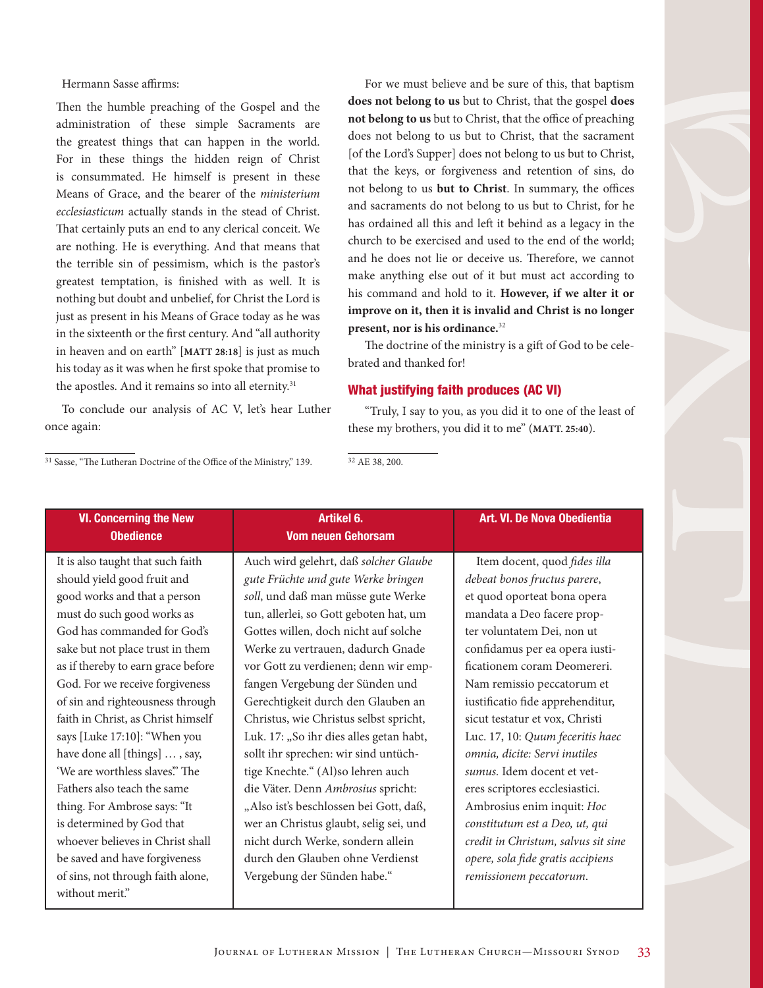Hermann Sasse affirms:

Then the humble preaching of the Gospel and the administration of these simple Sacraments are the greatest things that can happen in the world. For in these things the hidden reign of Christ is consummated. He himself is present in these Means of Grace, and the bearer of the *ministerium ecclesiasticum* actually stands in the stead of Christ. That certainly puts an end to any clerical conceit. We are nothing. He is everything. And that means that the terrible sin of pessimism, which is the pastor's greatest temptation, is finished with as well. It is nothing but doubt and unbelief, for Christ the Lord is just as present in his Means of Grace today as he was in the sixteenth or the first century. And "all authority in heaven and on earth" [**MATT 28:18**] is just as much his today as it was when he first spoke that promise to the apostles. And it remains so into all eternity.<sup>31</sup>

To conclude our analysis of AC V, let's hear Luther once again:

For we must believe and be sure of this, that baptism **does not belong to us** but to Christ, that the gospel **does not belong to us** but to Christ, that the office of preaching does not belong to us but to Christ, that the sacrament [of the Lord's Supper] does not belong to us but to Christ, that the keys, or forgiveness and retention of sins, do not belong to us **but to Christ**. In summary, the offices and sacraments do not belong to us but to Christ, for he has ordained all this and left it behind as a legacy in the church to be exercised and used to the end of the world; and he does not lie or deceive us. Therefore, we cannot make anything else out of it but must act according to his command and hold to it. **However, if we alter it or improve on it, then it is invalid and Christ is no longer present, nor is his ordinance.**<sup>32</sup>

The doctrine of the ministry is a gift of God to be celebrated and thanked for!

#### What justifying faith produces (AC VI)

"Truly, I say to you, as you did it to one of the least of these my brothers, you did it to me" (**MATT. 25:40**).

31 Sasse, "The Lutheran Doctrine of the Office of the Ministry," 139.

32 AE 38, 200.

| <b>VI. Concerning the New</b><br><b>Obedience</b> | Artikel 6.<br><b>Vom neuen Gehorsam</b> | Art. VI. De Nova Obedientia         |
|---------------------------------------------------|-----------------------------------------|-------------------------------------|
| It is also taught that such faith                 | Auch wird gelehrt, daß solcher Glaube   | Item docent, quod fides illa        |
| should yield good fruit and                       | gute Früchte und gute Werke bringen     | debeat bonos fructus parere,        |
| good works and that a person                      | soll, und daß man müsse gute Werke      | et quod oporteat bona opera         |
| must do such good works as                        | tun, allerlei, so Gott geboten hat, um  | mandata a Deo facere prop-          |
| God has commanded for God's                       | Gottes willen, doch nicht auf solche    | ter voluntatem Dei, non ut          |
| sake but not place trust in them                  | Werke zu vertrauen, dadurch Gnade       | confidamus per ea opera iusti-      |
| as if thereby to earn grace before                | vor Gott zu verdienen; denn wir emp-    | ficationem coram Deomereri.         |
| God. For we receive forgiveness                   | fangen Vergebung der Sünden und         | Nam remissio peccatorum et          |
| of sin and righteousness through                  | Gerechtigkeit durch den Glauben an      | iustificatio fide apprehenditur,    |
| faith in Christ, as Christ himself                | Christus, wie Christus selbst spricht,  | sicut testatur et vox, Christi      |
| says [Luke 17:10]: "When you                      | Luk. 17: "So ihr dies alles getan habt, | Luc. 17, 10: Quum feceritis haec    |
| have done all [things] , say,                     | sollt ihr sprechen: wir sind untüch-    | omnia, dicite: Servi inutiles       |
| 'We are worthless slaves." The                    | tige Knechte." (Al)so lehren auch       | sumus. Idem docent et vet-          |
| Fathers also teach the same                       | die Väter. Denn Ambrosius spricht:      | eres scriptores ecclesiastici.      |
| thing. For Ambrose says: "It                      | "Also ist's beschlossen bei Gott, daß,  | Ambrosius enim inquit: Hoc          |
| is determined by God that                         | wer an Christus glaubt, selig sei, und  | constitutum est a Deo, ut, qui      |
| whoever believes in Christ shall                  | nicht durch Werke, sondern allein       | credit in Christum, salvus sit sine |
| be saved and have forgiveness                     | durch den Glauben ohne Verdienst        | opere, sola fide gratis accipiens   |
| of sins, not through faith alone,                 | Vergebung der Sünden habe."             | remissionem peccatorum.             |
| without merit."                                   |                                         |                                     |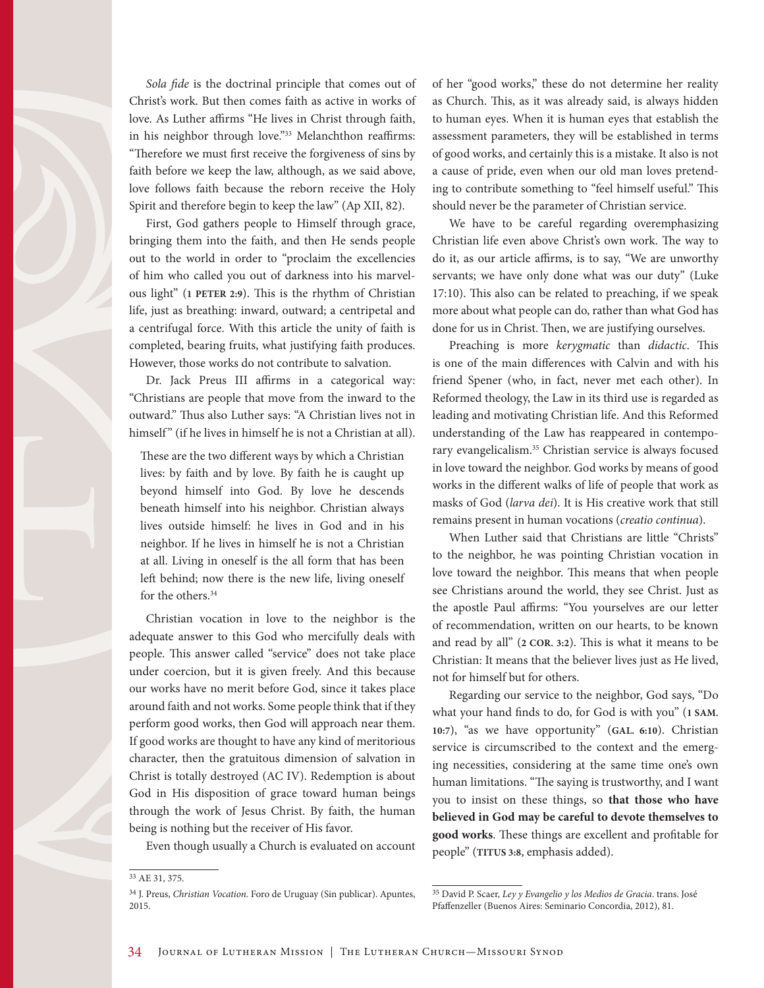*Sola fide* is the doctrinal principle that comes out of Christ's work. But then comes faith as active in works of love. As Luther affirms "He lives in Christ through faith, in his neighbor through love."<sup>33</sup> Melanchthon reaffirms: "Therefore we must first receive the forgiveness of sins by faith before we keep the law, although, as we said above, love follows faith because the reborn receive the Holy Spirit and therefore begin to keep the law" (Ap XII, 82).

First, God gathers people to Himself through grace, bringing them into the faith, and then He sends people out to the world in order to "proclaim the excellencies of him who called you out of darkness into his marvelous light" (**1 PETER 2:9**). This is the rhythm of Christian life, just as breathing: inward, outward; a centripetal and a centrifugal force. With this article the unity of faith is completed, bearing fruits, what justifying faith produces. However, those works do not contribute to salvation.

Dr. Jack Preus III affirms in a categorical way: "Christians are people that move from the inward to the outward." Thus also Luther says: "A Christian lives not in himself" (if he lives in himself he is not a Christian at all).

These are the two different ways by which a Christian lives: by faith and by love. By faith he is caught up beyond himself into God. By love he descends beneath himself into his neighbor. Christian always lives outside himself: he lives in God and in his neighbor. If he lives in himself he is not a Christian at all. Living in oneself is the all form that has been left behind; now there is the new life, living oneself for the others.<sup>34</sup>

Christian vocation in love to the neighbor is the adequate answer to this God who mercifully deals with people. This answer called "service" does not take place under coercion, but it is given freely. And this because our works have no merit before God, since it takes place around faith and not works. Some people think that if they perform good works, then God will approach near them. If good works are thought to have any kind of meritorious character, then the gratuitous dimension of salvation in Christ is totally destroyed (AC IV). Redemption is about God in His disposition of grace toward human beings through the work of Jesus Christ. By faith, the human being is nothing but the receiver of His favor.

Even though usually a Church is evaluated on account

of her "good works," these do not determine her reality as Church. This, as it was already said, is always hidden to human eyes. When it is human eyes that establish the assessment parameters, they will be established in terms of good works, and certainly this is a mistake. It also is not a cause of pride, even when our old man loves pretending to contribute something to "feel himself useful." This should never be the parameter of Christian service.

We have to be careful regarding overemphasizing Christian life even above Christ's own work. The way to do it, as our article affirms, is to say, "We are unworthy servants; we have only done what was our duty" (Luke 17:10). This also can be related to preaching, if we speak more about what people can do, rather than what God has done for us in Christ. Then, we are justifying ourselves.

Preaching is more *kerygmatic* than *didactic*. This is one of the main differences with Calvin and with his friend Spener (who, in fact, never met each other). In Reformed theology, the Law in its third use is regarded as leading and motivating Christian life. And this Reformed understanding of the Law has reappeared in contemporary evangelicalism.35 Christian service is always focused in love toward the neighbor. God works by means of good works in the different walks of life of people that work as masks of God (*larva dei*). It is His creative work that still remains present in human vocations (*creatio continua*).

When Luther said that Christians are little "Christs" to the neighbor, he was pointing Christian vocation in love toward the neighbor. This means that when people see Christians around the world, they see Christ. Just as the apostle Paul affirms: "You yourselves are our letter of recommendation, written on our hearts, to be known and read by all" (**2 COR. 3:2**). This is what it means to be Christian: It means that the believer lives just as He lived, not for himself but for others.

Regarding our service to the neighbor, God says, "Do what your hand finds to do, for God is with you" (**1 SAM. 10:7**), "as we have opportunity" (**GAL. 6:10**). Christian service is circumscribed to the context and the emerging necessities, considering at the same time one's own human limitations. "The saying is trustworthy, and I want you to insist on these things, so **that those who have believed in God may be careful to devote themselves to good works**. These things are excellent and profitable for people" (**TITUS 3:8**, emphasis added).

<sup>33</sup> AE 31, 375.

<sup>34</sup> J. Preus, *Christian Vocation.* Foro de Uruguay (Sin publicar). Apuntes, 2015.

<sup>35</sup> David P. Scaer, *Ley y Evangelio y los Medios de Gracia*. trans. José Pfaffenzeller (Buenos Aires: Seminario Concordia, 2012), 81.